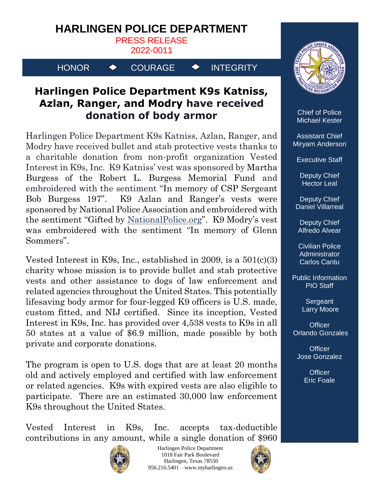## **HARLINGEN POLICE DEPARTMENT**

PRESS RELEASE

2022-0011

HONOR  $\rightarrow$  COURAGE  $\rightarrow$  INTEGRITY

## **Harlingen Police Department K9s Katniss, Azlan, Ranger, and Modry have received donation of body armor**

Harlingen Police Department K9s Katniss, Azlan, Ranger, and Modry have received bullet and stab protective vests thanks to a charitable donation from non-profit organization Vested Interest in K9s, Inc. K9 Katniss' vest was sponsored by Martha Burgess of the Robert L. Burgess Memorial Fund and embroidered with the sentiment "In memory of CSP Sergeant Bob Burgess 197". K9 Azlan and Ranger's vests were sponsored by National Police Association and embroidered with the sentiment "Gifted by [NationalPolice.org](http://nationalpolice.org/)". K9 Modry's vest was embroidered with the sentiment "In memory of Glenn Sommers".

Vested Interest in K9s, Inc., established in 2009, is a 501(c)(3) charity whose mission is to provide bullet and stab protective vests and other assistance to dogs of law enforcement and related agencies throughout the United States. This potentially lifesaving body armor for four-legged K9 officers is U.S. made, custom fitted, and NIJ certified. Since its inception, Vested Interest in K9s, Inc. has provided over 4,538 vests to K9s in all 50 states at a value of \$6.9 million, made possible by both private and corporate donations.

The program is open to U.S. dogs that are at least 20 months old and actively employed and certified with law enforcement or related agencies. K9s with expired vests are also eligible to participate. There are an estimated 30,000 law enforcement K9s throughout the United States.

Vested Interest in K9s, Inc. accepts tax-deductible contributions in any amount, while a single donation of \$960



Harlingen Police Department 1018 Fair Park Boulevard Harlingen, Texas 78550 956.216.5401 – www.myharlingen.us





Chief of Police Michael Kester

Assistant Chief Miryam Anderson

Executive Staff

Deputy Chief Hector Leal

Deputy Chief Daniel Villarreal

Deputy Chief Alfredo Alvear

Civilian Police **Administrator** Carlos Cantu

Public Information PIO Staff

> **Sergeant** Larry Moore

**Officer** Orlando Gonzales

**Officer** Jose Gonzalez

> **Officer** Eric Foale